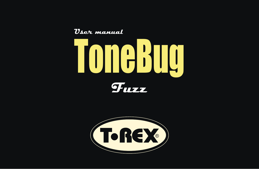



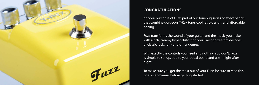

# **CONGRATULATIONS**

on your purchase of Fuzz, part of our Tonebug series of effect pedals that combine gorgeous T-Rex tone, cool retro design, and affordable pricing.

Fuzz transforms the sound of your guitar and the music you make with a rich, creamy hyper-distortion you'll recognize from decades of classic rock, funk and other genres.

With exactly the controls you need and nothing you don't, Fuzz is simple to set up, add to your pedal board and use – night after night.

To make sure you get the most out of your Fuzz, be sure to read this brief user manual before getting started.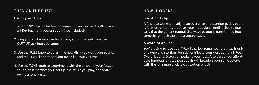## **TURN ON THE FUZZ!**

## **Using your Fuzz**

- 1. Insert a 9V alkaline battery or connect to an electrical outlet using a T-Rex Fuel Tank power supply (not included).
- 2. Plug your guitar into the INPUT jack, and run a lead from the OUTPUT jack into your amp.
- 3. Use the FUZZ knob to determine how dirty you want your sound, and the LEVEL knob to set your overall output volume.
- 4. Use the TONE knob to experiment with the timber of your fuzzed sound, so it matches your set-up, the music you play, and your own personal taste.

# **HOW IT WORKS**

## **Boost and clip**

A fuzz box works similarly to an overdrive or distortion pedal, but it is far more extreme. It boosts your input signal until it clips so drastically that the guitar's natural sine wave output is transformed into something much closer to a square wave.

### **A word of advice**

You're going to love your T-Rex Fuzz, but remember that fuzz is only one type of distortion. For subtler effects, consider adding a T-Rex Overdrive and Distortion pedal to your rack. Also part of our affordable Tonebug range, these pedals will broaden your sonic palette with the full range of classic distortion effects.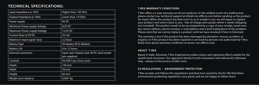# **TECHNICAL SPECIFICATIONS:**

| Input Impedance @ 1KHz              | Higher than 1 M Ohm                                          |
|-------------------------------------|--------------------------------------------------------------|
| Output Impedance @ 1KHz             | Lower than 1 K Ohm                                           |
| Power supply                        | 9V <sub>DC</sub>                                             |
| Minimum Power supply Voltage        | 8,5V DC                                                      |
| <b>Maximum Power supply Voltage</b> | 12,5V DC                                                     |
| Current Draw @ 9V DC                | 25 <sub>m</sub> A                                            |
| Maximum input signal Vp/p           | $3,2$ Vp/p                                                   |
| <b>Battery Type</b>                 | 9V battery 6F22 Alkaline                                     |
| <b>Battery Life</b>                 | 8 to 12 Hours                                                |
| <b>External connectors</b>          | Input Jack. Output Jack, 9V DC Jack (center<br>pin negative) |
| Controls                            | On/Off, Fuzz, Tone, Level                                    |
| Depth                               | $120$ mm                                                     |
| Width                               | 78 mm                                                        |
| Height                              | $60 \,\mathrm{mm}$                                           |
| Weight (excl. battery)              | 0,404 Kg                                                     |

#### **T-REX WARRANTY CONDITIONS**

T-Rex offers a 2-year warranty on all our products. In the unlikely event of a malfunction, please contact our technical support at info@t-rex-effects.com before sending us the product for repair. When the product has been sent to us at sender's cost, we will repair or replace your product and send it back to you - free of charge and usually within 3 weeks (shipping not included). The product needs to be accompanied by a copy of your receipt, serial number, return address, phone number, e-mail address and a brief explanation of the problem. Please note that we cannot replace a product until we have received it here in Denmark.

The warranty is lost if the product has been damaged by alteration, misuse, accident, or neglect; or if the product has been repaired or serviced by persons not authorized by T-Rex. Read more about warranty conditions at www.t-rex-effects.com.

### **ABOUT T-REX**

Based in Vejle, Denmark, T-Rex Engineering makes classic and signature effects pedals for the world's best musicians. Our approach blends hi-tech innovation with old-world craftsmanship – always in the service of killer tone.

### **EU REGULATIONS • ENVIRONMENT PROTECTION**

T-Rex accepts and follows the regulations and directives issued by the EU. We find these environment protecting regulations very good, and we are happy to follow them.